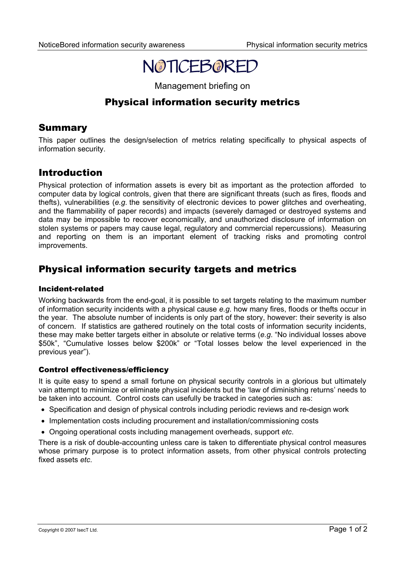# NOTICEBORED

Management briefing on

# Physical information security metrics

### Summary

This paper outlines the design/selection of metrics relating specifically to physical aspects of information security.

# Introduction

Physical protection of information assets is every bit as important as the protection afforded to computer data by logical controls, given that there are significant threats (such as fires, floods and thefts), vulnerabilities (*e.g*. the sensitivity of electronic devices to power glitches and overheating, and the flammability of paper records) and impacts (severely damaged or destroyed systems and data may be impossible to recover economically, and unauthorized disclosure of information on stolen systems or papers may cause legal, regulatory and commercial repercussions). Measuring and reporting on them is an important element of tracking risks and promoting control improvements.

# Physical information security targets and metrics

#### Incident-related

Working backwards from the end-goal, it is possible to set targets relating to the maximum number of information security incidents with a physical cause *e.g*. how many fires, floods or thefts occur in the year. The absolute number of incidents is only part of the story, however: their severity is also of concern. If statistics are gathered routinely on the total costs of information security incidents, these may make better targets either in absolute or relative terms (*e.g*. "No individual losses above \$50k", "Cumulative losses below \$200k" or "Total losses below the level experienced in the previous year").

#### Control effectiveness/efficiency

It is quite easy to spend a small fortune on physical security controls in a glorious but ultimately vain attempt to minimize or eliminate physical incidents but the 'law of diminishing returns' needs to be taken into account. Control costs can usefully be tracked in categories such as:

- Specification and design of physical controls including periodic reviews and re-design work
- Implementation costs including procurement and installation/commissioning costs
- Ongoing operational costs including management overheads, support *etc*.

There is a risk of double-accounting unless care is taken to differentiate physical control measures whose primary purpose is to protect information assets, from other physical controls protecting fixed assets *etc*.